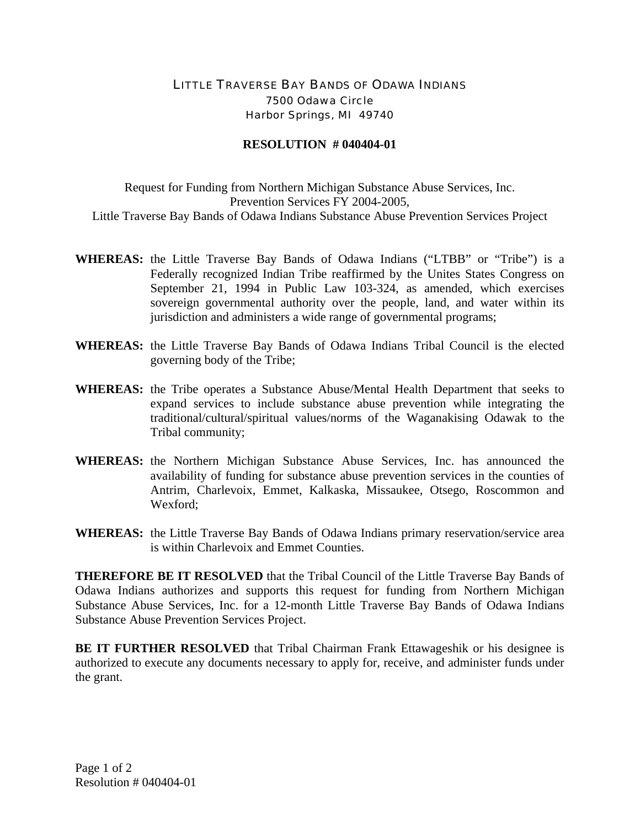## LITTLE TRAVERSE BAY BANDS OF ODAWA INDIANS 7500 Odawa Circle Harbor Springs, MI 49740

## **RESOLUTION # 040404-01**

Request for Funding from Northern Michigan Substance Abuse Services, Inc. Prevention Services FY 2004-2005, Little Traverse Bay Bands of Odawa Indians Substance Abuse Prevention Services Project

- **WHEREAS:** the Little Traverse Bay Bands of Odawa Indians ("LTBB" or "Tribe") is a Federally recognized Indian Tribe reaffirmed by the Unites States Congress on September 21, 1994 in Public Law 103-324, as amended, which exercises sovereign governmental authority over the people, land, and water within its jurisdiction and administers a wide range of governmental programs;
- **WHEREAS:** the Little Traverse Bay Bands of Odawa Indians Tribal Council is the elected governing body of the Tribe;
- **WHEREAS:** the Tribe operates a Substance Abuse/Mental Health Department that seeks to expand services to include substance abuse prevention while integrating the traditional/cultural/spiritual values/norms of the Waganakising Odawak to the Tribal community;
- **WHEREAS:** the Northern Michigan Substance Abuse Services, Inc. has announced the availability of funding for substance abuse prevention services in the counties of Antrim, Charlevoix, Emmet, Kalkaska, Missaukee, Otsego, Roscommon and Wexford;
- **WHEREAS:** the Little Traverse Bay Bands of Odawa Indians primary reservation/service area is within Charlevoix and Emmet Counties.

**THEREFORE BE IT RESOLVED** that the Tribal Council of the Little Traverse Bay Bands of Odawa Indians authorizes and supports this request for funding from Northern Michigan Substance Abuse Services, Inc. for a 12-month Little Traverse Bay Bands of Odawa Indians Substance Abuse Prevention Services Project.

**BE IT FURTHER RESOLVED** that Tribal Chairman Frank Ettawageshik or his designee is authorized to execute any documents necessary to apply for, receive, and administer funds under the grant.